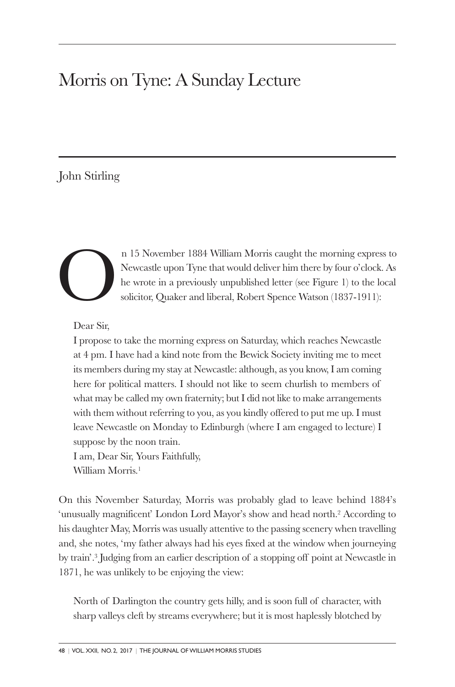# Morris on Tyne: A Sunday Lecture

# John Stirling



n 15 November 1884 William Morris caught the morning express to Newcastle upon Tyne that would deliver him there by four o'clock. As he wrote in a previously unpublished letter (see Figure 1) to the local solicitor, Quaker and liberal, Robert Spence Watson (1837-1911):

Dear Sir,

I propose to take the morning express on Saturday, which reaches Newcastle at 4 pm. I have had a kind note from the Bewick Society inviting me to meet its members during my stay at Newcastle: although, as you know, I am coming here for political matters. I should not like to seem churlish to members of what may be called my own fraternity; but I did not like to make arrangements with them without referring to you, as you kindly offered to put me up. I must leave Newcastle on Monday to Edinburgh (where I am engaged to lecture) I suppose by the noon train.

I am, Dear Sir, Yours Faithfully, William Morris. 1

On this November Saturday, Morris was probably glad to leave behind 1884's 'unusually magnificent' London Lord Mayor's show and head north. <sup>2</sup> According to his daughter May, Morris was usually attentive to the passing scenery when travelling and, she notes, 'my father always had his eyes fixed at the window when journeying by train'. <sup>3</sup> Judging from an earlier description of a stopping off point at Newcastle in 1871, he was unlikely to be enjoying the view:

North of Darlington the country gets hilly, and is soon full of character, with sharp valleys cleft by streams everywhere; but it is most haplessly blotched by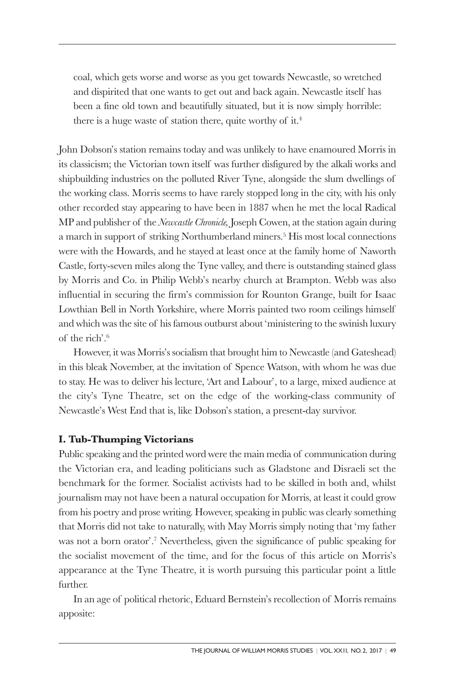coal, which gets worse and worse as you get towards Newcastle, so wretched and dispirited that one wants to get out and back again. Newcastle itself has been a fine old town and beautifully situated, but it is now simply horrible: there is a huge waste of station there, quite worthy of it. 4

John Dobson's station remains today and was unlikely to have enamoured Morris in its classicism; the Victorian town itself was further disfigured by the alkali works and shipbuilding industries on the polluted River Tyne, alongside the slum dwellings of the working class. Morris seems to have rarely stopped long in the city, with his only other recorded stay appearing to have been in 1887 when he met the local Radical MP and publisher of the *Newcastle Chronicle,* Joseph Cowen, at the station again during a march in support of striking Northumberland miners. <sup>5</sup> His most local connections were with the Howards, and he stayed at least once at the family home of Naworth Castle, forty-seven miles along the Tyne valley, and there is outstanding stained glass by Morris and Co. in Philip Webb's nearby church at Brampton. Webb was also influential in securing the firm's commission for Rounton Grange, built for Isaac Lowthian Bell in North Yorkshire, where Morris painted two room ceilings himself and which was the site of his famous outburst about 'ministering to the swinish luxury of the rich'. 6

However, it was Morris's socialism that brought him to Newcastle (and Gateshead) in this bleak November, at the invitation of Spence Watson, with whom he was due to stay. He was to deliver his lecture, 'Art and Labour', to a large, mixed audience at the city's Tyne Theatre, set on the edge of the working-class community of Newcastle's West End that is, like Dobson's station, a present-day survivor.

## **I. Tub-Thumping Victorians**

Public speaking and the printed word were the main media of communication during the Victorian era, and leading politicians such as Gladstone and Disraeli set the benchmark for the former. Socialist activists had to be skilled in both and, whilst journalism may not have been a natural occupation for Morris, at least it could grow from his poetry and prose writing. However, speaking in public was clearly something that Morris did not take to naturally, with May Morris simply noting that 'my father was not a born orator'. <sup>7</sup> Nevertheless, given the significance of public speaking for the socialist movement of the time, and for the focus of this article on Morris's appearance at the Tyne Theatre, it is worth pursuing this particular point a little further.

In an age of political rhetoric, Eduard Bernstein's recollection of Morris remains apposite: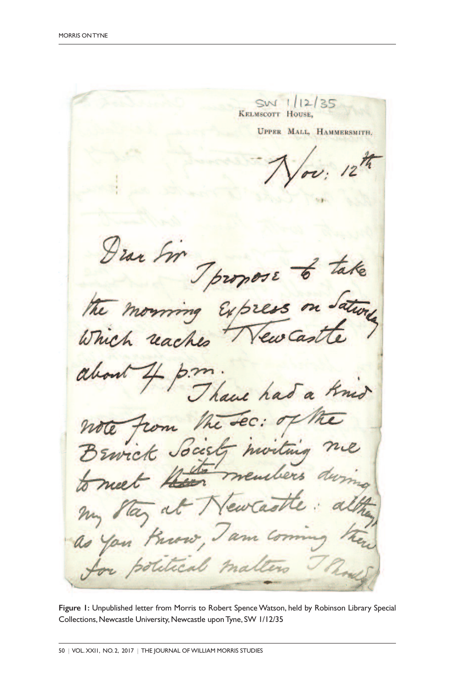SW 1/12/35 KELMSCOTT HOUSE. UPPER MALL, HAMMERSMITH. Tpropose morning Expres Which  $-2m$ Thave has a Knid note from the sec: of Brwick Society moiting Wenn members meet  $\frac{1}{2}$ at Newca May my You Know, Jam ccal mar

Figure I: Unpublished letter from Morris to Robert Spence Watson, held by Robinson Library Special Collections, Newcastle University, Newcastle upon Tyne, SW 1/12/35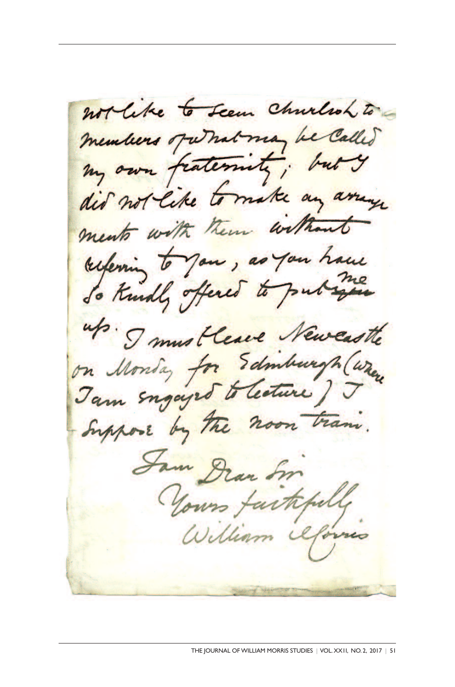not like to seem churchoh to members of what may be called my own fraternity; buty did not like to make any arrange ments with them without referring to you, as you have up. I mustleave Newcastle on Monday for Edinburgh (where ) Suppose by the noon train. Sam Dran Sm Yours faithfully William Oforno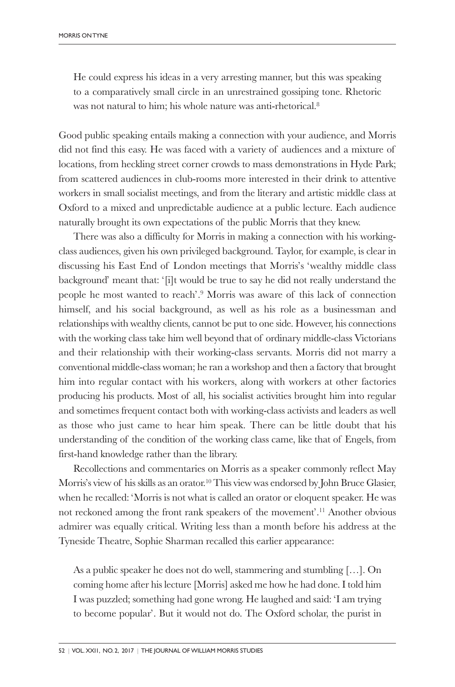He could express his ideas in a very arresting manner, but this was speaking to a comparatively small circle in an unrestrained gossiping tone. Rhetoric was not natural to him; his whole nature was anti-rhetorical. 8

Good public speaking entails making a connection with your audience, and Morris did not find this easy. He was faced with a variety of audiences and a mixture of locations, from heckling street corner crowds to mass demonstrations in Hyde Park; from scattered audiences in club-rooms more interested in their drink to attentive workers in small socialist meetings, and from the literary and artistic middle class at Oxford to a mixed and unpredictable audience at a public lecture. Each audience naturally brought its own expectations of the public Morris that they knew.

There was also a difficulty for Morris in making a connection with his workingclass audiences, given his own privileged background. Taylor, for example, is clear in discussing his East End of London meetings that Morris's 'wealthy middle class background' meant that: '[i]t would be true to say he did not really understand the people he most wanted to reach'. <sup>9</sup> Morris was aware of this lack of connection himself, and his social background, as well as his role as a businessman and relationships with wealthy clients, cannot be put to one side. However, his connections with the working class take him well beyond that of ordinary middle-class Victorians and their relationship with their working-class servants. Morris did not marry a conventional middle-class woman; he ran a workshop and then a factory that brought him into regular contact with his workers, along with workers at other factories producing his products. Most of all, his socialist activities brought him into regular and sometimes frequent contact both with working-class activists and leaders as well as those who just came to hear him speak. There can be little doubt that his understanding of the condition of the working class came, like that of Engels, from first-hand knowledge rather than the library.

Recollections and commentaries on Morris as a speaker commonly reflect May Morris's view of his skills as an orator. <sup>10</sup> This view was endorsed by John Bruce Glasier, when he recalled: 'Morris is not what is called an orator or eloquent speaker. He was not reckoned among the front rank speakers of the movement'. <sup>11</sup> Another obvious admirer was equally critical. Writing less than a month before his address at the Tyneside Theatre, Sophie Sharman recalled this earlier appearance:

As a public speaker he does not do well, stammering and stumbling […]. On coming home after his lecture [Morris] asked me how he had done. I told him I was puzzled; something had gone wrong. He laughed and said: 'I am trying to become popular'. But it would not do. The Oxford scholar, the purist in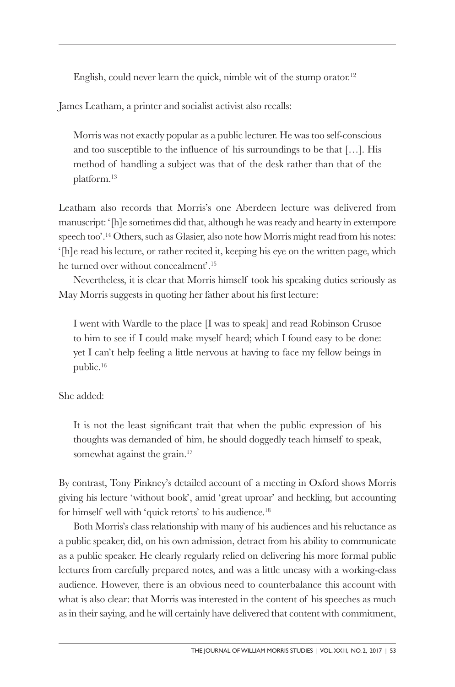English, could never learn the quick, nimble wit of the stump orator. 12

James Leatham, a printer and socialist activist also recalls:

Morris was not exactly popular as a public lecturer. He was too self-conscious and too susceptible to the influence of his surroundings to be that […]. His method of handling a subject was that of the desk rather than that of the platform. 13

Leatham also records that Morris's one Aberdeen lecture was delivered from manuscript: '[h]e sometimes did that, although he was ready and hearty in extempore speech too'. <sup>14</sup> Others, such as Glasier, also note how Morris might read from his notes: '[h]e read his lecture, or rather recited it, keeping his eye on the written page, which he turned over without concealment'. 15

Nevertheless, it is clear that Morris himself took his speaking duties seriously as May Morris suggests in quoting her father about his first lecture:

I went with Wardle to the place [I was to speak] and read Robinson Crusoe to him to see if I could make myself heard; which I found easy to be done: yet I can't help feeling a little nervous at having to face my fellow beings in public. 16

She added:

It is not the least significant trait that when the public expression of his thoughts was demanded of him, he should doggedly teach himself to speak, somewhat against the grain.<sup>17</sup>

By contrast, Tony Pinkney's detailed account of a meeting in Oxford shows Morris giving his lecture 'without book', amid 'great uproar' and heckling, but accounting for himself well with 'quick retorts' to his audience. 18

Both Morris's class relationship with many of his audiences and his reluctance as a public speaker, did, on his own admission, detract from his ability to communicate as a public speaker. He clearly regularly relied on delivering his more formal public lectures from carefully prepared notes, and was a little uneasy with a working-class audience. However, there is an obvious need to counterbalance this account with what is also clear: that Morris was interested in the content of his speeches as much as in their saying, and he will certainly have delivered that content with commitment,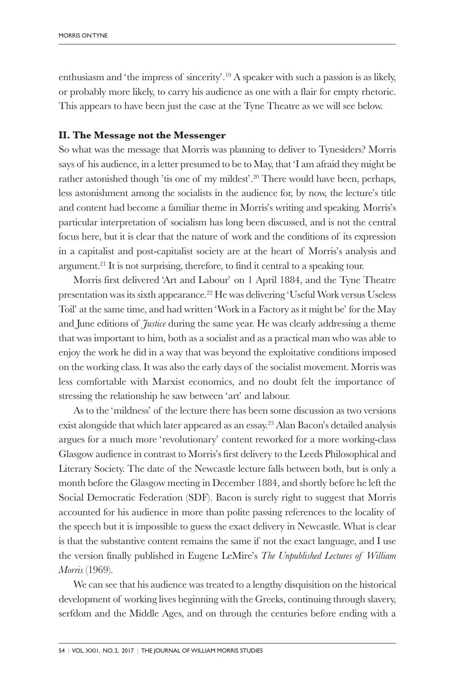enthusiasm and 'the impress of sincerity'. <sup>19</sup> A speaker with such a passion is as likely, or probably more likely, to carry his audience as one with a flair for empty rhetoric. This appears to have been just the case at the Tyne Theatre as we will see below.

### **II. The Message not the Messenger**

So what was the message that Morris was planning to deliver to Tynesiders? Morris says of his audience, in a letter presumed to be to May, that 'I am afraid they might be rather astonished though 'tis one of my mildest'. <sup>20</sup> There would have been, perhaps, less astonishment among the socialists in the audience for, by now, the lecture's title and content had become a familiar theme in Morris's writing and speaking. Morris's particular interpretation of socialism has long been discussed, and is not the central focus here, but it is clear that the nature of work and the conditions of its expression in a capitalist and post-capitalist society are at the heart of Morris's analysis and argument. <sup>21</sup> It is not surprising, therefore, to find it central to a speaking tour.

Morris first delivered 'Art and Labour' on 1 April 1884, and the Tyne Theatre presentation was its sixth appearance. <sup>22</sup> He was delivering 'Useful Work versus Useless Toil' at the same time, and had written 'Work in a Factory as it might be' for the May and June editions of *Justice* during the same year. He was clearly addressing a theme that was important to him, both as a socialist and as a practical man who was able to enjoy the work he did in a way that was beyond the exploitative conditions imposed on the working class. It was also the early days of the socialist movement. Morris was less comfortable with Marxist economics, and no doubt felt the importance of stressing the relationship he saw between 'art' and labour.

As to the 'mildness' of the lecture there has been some discussion as two versions exist alongside that which later appeared as an essay. <sup>23</sup> Alan Bacon's detailed analysis argues for a much more 'revolutionary' content reworked for a more working-class Glasgow audience in contrast to Morris's first delivery to the Leeds Philosophical and Literary Society. The date of the Newcastle lecture falls between both, but is only a month before the Glasgow meeting in December 1884, and shortly before he left the Social Democratic Federation (SDF). Bacon is surely right to suggest that Morris accounted for his audience in more than polite passing references to the locality of the speech but it is impossible to guess the exact delivery in Newcastle. What is clear is that the substantive content remains the same if not the exact language, and I use the version finally published in Eugene LeMire's *The Unpublished Lectures of William Morris* (1969).

We can see that his audience was treated to a lengthy disquisition on the historical development of working lives beginning with the Greeks, continuing through slavery, serfdom and the Middle Ages, and on through the centuries before ending with a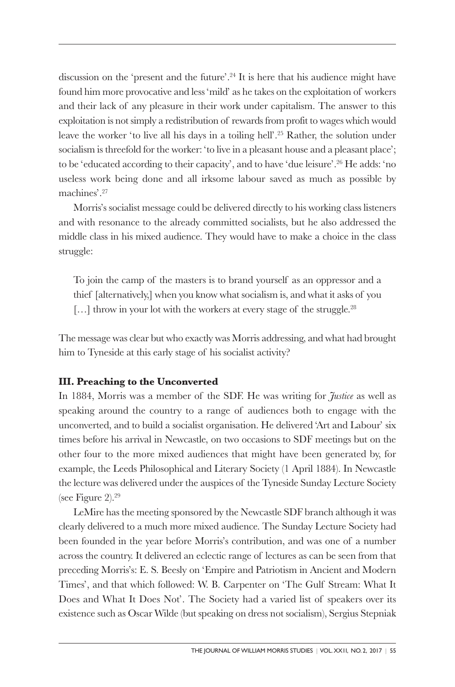discussion on the 'present and the future'. <sup>24</sup> It is here that his audience might have found him more provocative and less 'mild' as he takes on the exploitation of workers and their lack of any pleasure in their work under capitalism. The answer to this exploitation is not simply a redistribution of rewards from profit to wages which would leave the worker 'to live all his days in a toiling hell'. <sup>25</sup> Rather, the solution under socialism is threefold for the worker: 'to live in a pleasant house and a pleasant place'; to be 'educated according to their capacity', and to have 'due leisure'. <sup>26</sup> He adds: 'no useless work being done and all irksome labour saved as much as possible by machines'. 27

Morris's socialist message could be delivered directly to his working class listeners and with resonance to the already committed socialists, but he also addressed the middle class in his mixed audience. They would have to make a choice in the class struggle:

To join the camp of the masters is to brand yourself as an oppressor and a thief [alternatively,] when you know what socialism is, and what it asks of you [...] throw in your lot with the workers at every stage of the struggle.<sup>28</sup>

The message was clear but who exactly was Morris addressing, and what had brought him to Tyneside at this early stage of his socialist activity?

#### **III. Preaching to the Unconverted**

In 1884, Morris was a member of the SDF. He was writing for *Justice* as well as speaking around the country to a range of audiences both to engage with the unconverted, and to build a socialist organisation. He delivered 'Art and Labour' six times before his arrival in Newcastle, on two occasions to SDF meetings but on the other four to the more mixed audiences that might have been generated by, for example, the Leeds Philosophical and Literary Society (1 April 1884). In Newcastle the lecture was delivered under the auspices of the Tyneside Sunday Lecture Society (see Figure 2). 29

LeMire has the meeting sponsored by the Newcastle SDF branch although it was clearly delivered to a much more mixed audience. The Sunday Lecture Society had been founded in the year before Morris's contribution, and was one of a number across the country. It delivered an eclectic range of lectures as can be seen from that preceding Morris's: E. S. Beesly on 'Empire and Patriotism in Ancient and Modern Times', and that which followed: W. B. Carpenter on 'The Gulf Stream: What It Does and What It Does Not'. The Society had a varied list of speakers over its existence such as Oscar Wilde (but speaking on dress not socialism), Sergius Stepniak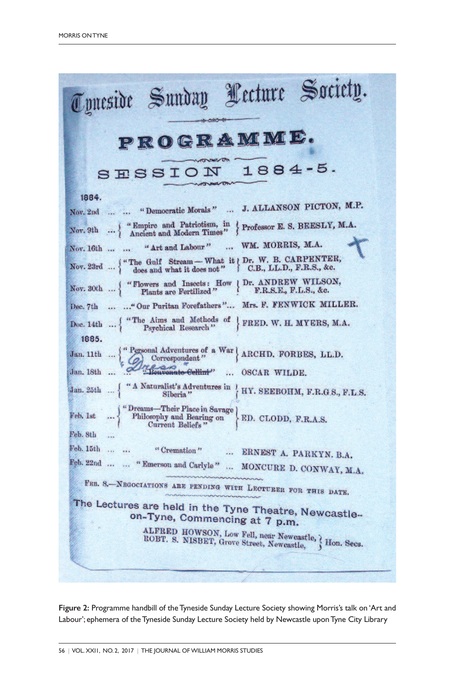

**Figure 2:** Programme handbill of theTyneside Sunday Lecture Society showing Morris's talk on 'Art and Labour'; ephemera of theTyneside Sunday Lecture Society held by Newcastle uponTyne City Library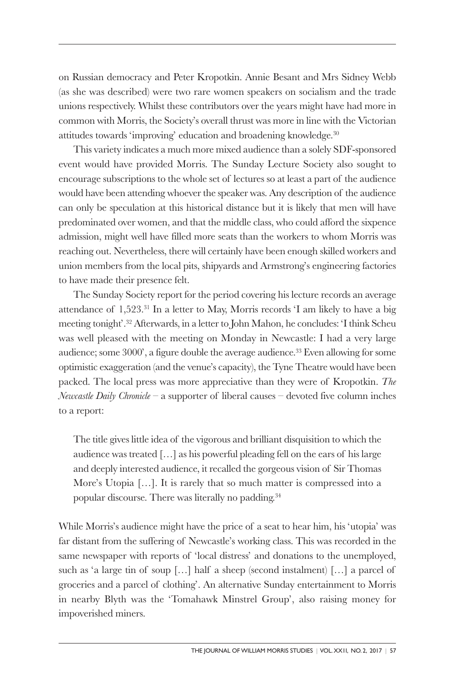on Russian democracy and Peter Kropotkin. Annie Besant and Mrs Sidney Webb (as she was described) were two rare women speakers on socialism and the trade unions respectively. Whilst these contributors over the years might have had more in common with Morris, the Society's overall thrust was more in line with the Victorian attitudes towards 'improving' education and broadening knowledge. 30

This variety indicates a much more mixed audience than a solely SDF-sponsored event would have provided Morris. The Sunday Lecture Society also sought to encourage subscriptions to the whole set of lectures so at least a part of the audience would have been attending whoever the speaker was. Any description of the audience can only be speculation at this historical distance but it is likely that men will have predominated over women, and that the middle class, who could afford the sixpence admission, might well have filled more seats than the workers to whom Morris was reaching out. Nevertheless, there will certainly have been enough skilled workers and union members from the local pits, shipyards and Armstrong's engineering factories to have made their presence felt.

The Sunday Society report for the period covering his lecture records an average attendance of 1,523. <sup>31</sup> In a letter to May, Morris records 'I am likely to have a big meeting tonight'. <sup>32</sup> Afterwards, in a letter to John Mahon, he concludes: 'I think Scheu was well pleased with the meeting on Monday in Newcastle: I had a very large audience; some 3000', a figure double the average audience. <sup>33</sup> Even allowing for some optimistic exaggeration (and the venue's capacity), the Tyne Theatre would have been packed. The local press was more appreciative than they were of Kropotkin. *The Newcastle Daily Chronicle* – a supporter of liberal causes – devoted five column inches to a report:

The title gives little idea of the vigorous and brilliant disquisition to which the audience was treated […] as his powerful pleading fell on the ears of his large and deeply interested audience, it recalled the gorgeous vision of Sir Thomas More's Utopia […]. It is rarely that so much matter is compressed into a popular discourse. There was literally no padding. 34

While Morris's audience might have the price of a seat to hear him, his 'utopia' was far distant from the suffering of Newcastle's working class. This was recorded in the same newspaper with reports of 'local distress' and donations to the unemployed, such as 'a large tin of soup […] half a sheep (second instalment) […] a parcel of groceries and a parcel of clothing'. An alternative Sunday entertainment to Morris in nearby Blyth was the 'Tomahawk Minstrel Group', also raising money for impoverished miners.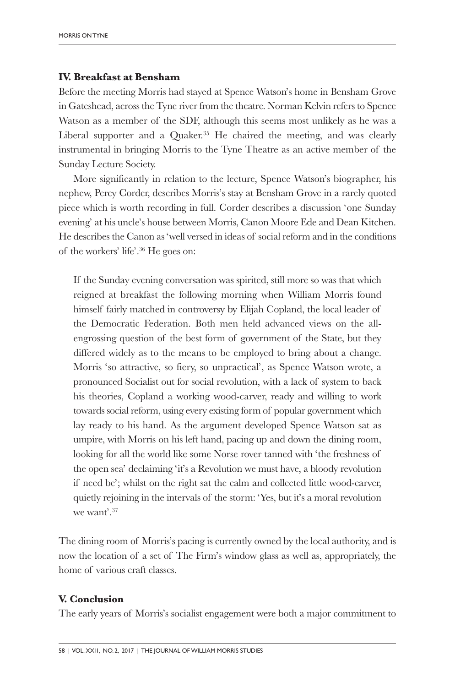#### **IV. Breakfast at Bensham**

Before the meeting Morris had stayed at Spence Watson's home in Bensham Grove in Gateshead, across the Tyne river from the theatre. Norman Kelvin refers to Spence Watson as a member of the SDF, although this seems most unlikely as he was a Liberal supporter and a Quaker. <sup>35</sup> He chaired the meeting, and was clearly instrumental in bringing Morris to the Tyne Theatre as an active member of the Sunday Lecture Society.

More significantly in relation to the lecture, Spence Watson's biographer, his nephew, Percy Corder, describes Morris's stay at Bensham Grove in a rarely quoted piece which is worth recording in full. Corder describes a discussion 'one Sunday evening' at his uncle's house between Morris, Canon Moore Ede and Dean Kitchen. He describes the Canon as 'well versed in ideas of social reform and in the conditions of the workers' life'. <sup>36</sup> He goes on:

If the Sunday evening conversation was spirited, still more so was that which reigned at breakfast the following morning when William Morris found himself fairly matched in controversy by Elijah Copland, the local leader of the Democratic Federation. Both men held advanced views on the allengrossing question of the best form of government of the State, but they differed widely as to the means to be employed to bring about a change. Morris 'so attractive, so fiery, so unpractical', as Spence Watson wrote, a pronounced Socialist out for social revolution, with a lack of system to back his theories, Copland a working wood-carver, ready and willing to work towards social reform, using every existing form of popular government which lay ready to his hand. As the argument developed Spence Watson sat as umpire, with Morris on his left hand, pacing up and down the dining room, looking for all the world like some Norse rover tanned with 'the freshness of the open sea' declaiming 'it's a Revolution we must have, a bloody revolution if need be'; whilst on the right sat the calm and collected little wood-carver, quietly rejoining in the intervals of the storm: 'Yes, but it's a moral revolution we want'. 37

The dining room of Morris's pacing is currently owned by the local authority, and is now the location of a set of The Firm's window glass as well as, appropriately, the home of various craft classes.

#### **V. Conclusion**

The early years of Morris's socialist engagement were both a major commitment to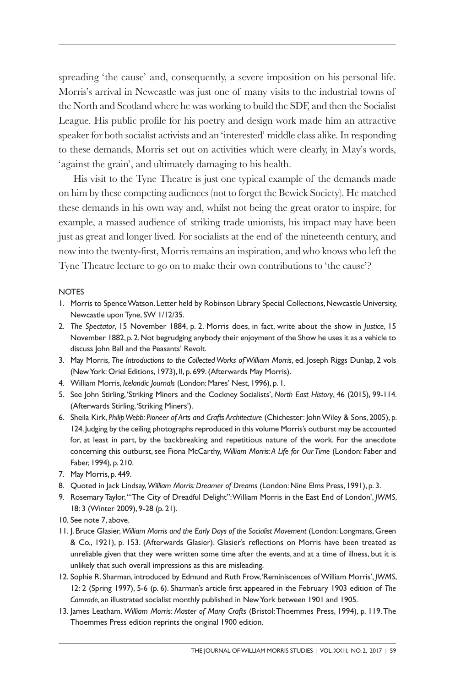spreading 'the cause' and, consequently, a severe imposition on his personal life. Morris's arrival in Newcastle was just one of many visits to the industrial towns of the North and Scotland where he was working to build the SDF, and then the Socialist League. His public profile for his poetry and design work made him an attractive speaker for both socialist activists and an 'interested' middle class alike. In responding to these demands, Morris set out on activities which were clearly, in May's words, 'against the grain', and ultimately damaging to his health.

His visit to the Tyne Theatre is just one typical example of the demands made on him by these competing audiences (not to forget the Bewick Society). He matched these demands in his own way and, whilst not being the great orator to inspire, for example, a massed audience of striking trade unionists, his impact may have been just as great and longer lived. For socialists at the end of the nineteenth century, and now into the twenty-first, Morris remains an inspiration, and who knows who left the Tyne Theatre lecture to go on to make their own contributions to 'the cause'?

#### **NOTES**

- 1. Morris to Spence Watson. Letter held by Robinson Library Special Collections, Newcastle University, Newcastle uponTyne, SW 1/12/35.
- 2. *The Spectator*, 15 November 1884, p. 2. Morris does, in fact, write about the show in *Justice*, 15 November 1882, p. 2.Not begrudging anybody their enjoyment of the Show he uses it as a vehicle to discuss John Ball and the Peasants' Revolt.
- 3. May Morris, *The Introductions to the Collected Works of William Morris*, ed. Joseph Riggs Dunlap, 2 vols (NewYork: Oriel Editions, 1973), II, p. 699.(Afterwards May Morris).
- 4. William Morris, *Icelandic Journals* (London: Mares' Nest, 1996), p. 1.
- 5. See John Stirling, 'Striking Miners and the Cockney Socialists', *North East History*, 46 (2015), 99-114. (Afterwards Stirling,'Striking Miners').
- 6. Sheila Kirk, *PhilipWebb: Pioneer of Arts and Crafts Architecture* (Chichester: JohnWiley & Sons, 2005), p. 124. Judging by the ceiling photographs reproduced in this volume Morris's outburst may be accounted for, at least in part, by the backbreaking and repetitious nature of the work. For the anecdote concerning this outburst,see Fiona McCarthy, *William Morris:A Life for Our Time* (London: Faber and Faber, 1994), p. 210.
- 7. May Morris, p. 449.
- 8. Quoted in Jack Lindsay, *William Morris:Dreamer of Dreams* (London: Nine Elms Press, 1991), p. 3.
- 9. Rosemary Taylor,'"The City of Dreadful Delight":William Morris in the East End of London', *JWMS*, 18: 3 (Winter 2009), 9-28 (p. 21).
- 10. See note 7, above.
- 11. J. Bruce Glasier,*William Morris and the Early Days of the Socialist Movement* (London: Longmans,Green & Co., 1921), p. 153. (Afterwards Glasier). Glasier's reflections on Morris have been treated as unreliable given that they were written some time after the events, and at a time of illness, but it is unlikely that such overall impressions as this are misleading.
- 12. Sophie R. Sharman, introduced by Edmund and Ruth Frow,'Reminiscences ofWilliam Morris', *JWMS*, 12: 2 (Spring 1997), 5-6 (p. 6). Sharman's article first appeared in the February 1903 edition of *The Comrade*, an illustrated socialist monthly published in NewYork between 1901 and 1905.
- 13. James Leatham, *William Morris: Master of Many Crafts* (Bristol:Thoemmes Press, 1994), p. 119.The Thoemmes Press edition reprints the original 1900 edition.